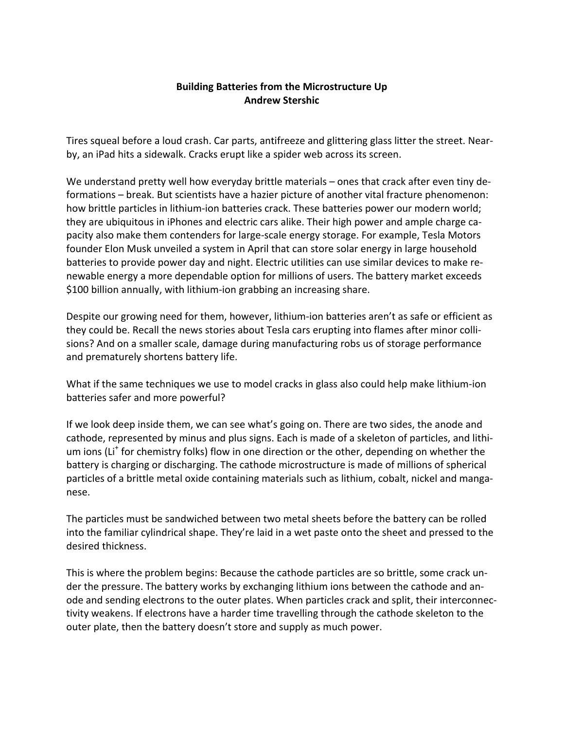## **Building Batteries from the Microstructure Up Andrew Stershic**

Tires squeal before a loud crash. Car parts, antifreeze and glittering glass litter the street. Nearby, an iPad hits a sidewalk. Cracks erupt like a spider web across its screen.

We understand pretty well how everyday brittle materials – ones that crack after even tiny deformations – break. But scientists have a hazier picture of another vital fracture phenomenon: how brittle particles in lithium-ion batteries crack. These batteries power our modern world; they are ubiquitous in iPhones and electric cars alike. Their high power and ample charge capacity also make them contenders for large-scale energy storage. For example, Tesla Motors founder Elon Musk unveiled a system in April that can store solar energy in large household batteries to provide power day and night. Electric utilities can use similar devices to make renewable energy a more dependable option for millions of users. The battery market exceeds \$100 billion annually, with lithium-ion grabbing an increasing share.

Despite our growing need for them, however, lithium-ion batteries aren't as safe or efficient as they could be. Recall the news stories about Tesla cars erupting into flames after minor collisions? And on a smaller scale, damage during manufacturing robs us of storage performance and prematurely shortens battery life.

What if the same techniques we use to model cracks in glass also could help make lithium-ion batteries safer and more powerful?

If we look deep inside them, we can see what's going on. There are two sides, the anode and cathode, represented by minus and plus signs. Each is made of a skeleton of particles, and lithium ions (Li<sup>+</sup> for chemistry folks) flow in one direction or the other, depending on whether the battery is charging or discharging. The cathode microstructure is made of millions of spherical particles of a brittle metal oxide containing materials such as lithium, cobalt, nickel and manganese.

The particles must be sandwiched between two metal sheets before the battery can be rolled into the familiar cylindrical shape. They're laid in a wet paste onto the sheet and pressed to the desired thickness.

This is where the problem begins: Because the cathode particles are so brittle, some crack under the pressure. The battery works by exchanging lithium ions between the cathode and anode and sending electrons to the outer plates. When particles crack and split, their interconnectivity weakens. If electrons have a harder time travelling through the cathode skeleton to the outer plate, then the battery doesn't store and supply as much power.